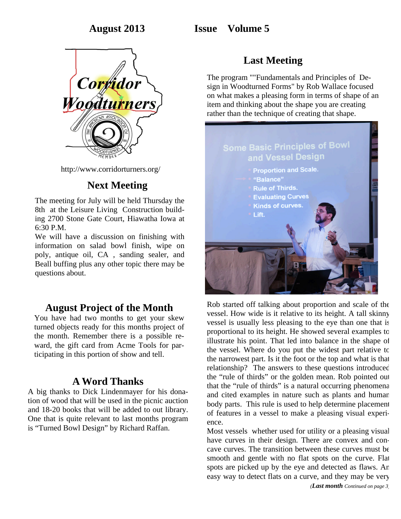## **August 2013 Issue Volume 5**



http://www.corridorturners.org/

## **Next Meeting**

The meeting for July will be held Thursday the 8th at the Leisure Living Construction building 2700 Stone Gate Court, Hiawatha Iowa at 6:30 P.M.

We will have a discussion on finishing with information on salad bowl finish, wipe on poly, antique oil, CA , sanding sealer, and Beall buffing plus any other topic there may be questions about.

### **August Project of the Month**

You have had two months to get your skew turned objects ready for this months project of the month. Remember there is a possible reward, the gift card from Acme Tools for participating in this portion of show and tell.

## **A Word Thanks**

A big thanks to Dick Lindenmayer for his donation of wood that will be used in the picnic auction and 18-20 books that will be added to out library. One that is quite relevant to last months program is "Turned Bowl Design" by Richard Raffan.

# **Last Meeting**

The program ""Fundamentals and Principles of Design in Woodturned Forms" by Rob Wallace focused on what makes a pleasing form in terms of shape of an item and thinking about the shape you are creating rather than the technique of creating that shape.

## **Some Basic Principles of Bowl** and Vessel Design **Proportion and Scale.** "Balance" **Rule of Thirds.**

- **Evaluating Curves**
- Kinds of curves.
- Lift.



Rob started off talking about proportion and scale of the vessel. How wide is it relative to its height. A tall skinny vessel is usually less pleasing to the eye than one that is proportional to its height. He showed several examples to illustrate his point. That led into balance in the shape of the vessel. Where do you put the widest part relative to the narrowest part. Is it the foot or the top and what is that relationship? The answers to these questions introduced the "rule of thirds" or the golden mean. Rob pointed out that the "rule of thirds" is a natural occurring phenomena and cited examples in nature such as plants and human body parts. This rule is used to help determine placement of features in a vessel to make a pleasing visual experience.

Most vessels whether used for utility or a pleasing visual have curves in their design. There are convex and concave curves. The transition between these curves must be smooth and gentle with no flat spots on the curve. Flat spots are picked up by the eye and detected as flaws. An easy way to detect flats on a curve, and they may be very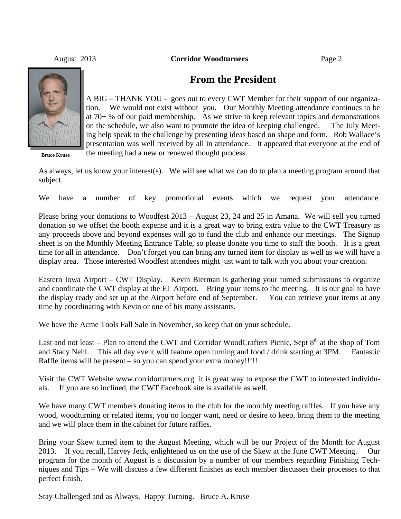August 2013 **Corridor Woodturners** Page 2



**Bruce Kruse**

### **From the President**

A BIG – THANK YOU - goes out to every CWT Member for their support of our organization. We would not exist without you. Our Monthly Meeting attendance continues to be at 70+ % of our paid membership. As we strive to keep relevant topics and demonstrations on the schedule, we also want to promote the idea of keeping challenged. The July Meeting help speak to the challenge by presenting ideas based on shape and form. Rob Wallace's presentation was well received by all in attendance. It appeared that everyone at the end of the meeting had a new or renewed thought process.

As always, let us know your interest(s). We will see what we can do to plan a meeting program around that subject.

We have a number of key promotional events which we request your attendance.

Please bring your donations to Woodfest 2013 – August 23, 24 and 25 in Amana. We will sell you turned donation so we offset the booth expense and it is a great way to bring extra value to the CWT Treasury as any proceeds above and beyond expenses will go to fund the club and enhance our meetings. The Signup sheet is on the Monthly Meeting Entrance Table, so please donate you time to staff the booth. It is a great time for all in attendance. Don't forget you can bring any turned item for display as well as we will have a display area. Those interested Woodfest attendees might just want to talk with you about your creation.

Eastern Iowa Airport – CWT Display. Kevin Bierman is gathering your turned submissions to organize and coordinate the CWT display at the EI Airport. Bring your items to the meeting. It is our goal to have the display ready and set up at the Airport before end of September. You can retrieve your items at any time by coordinating with Kevin or one of his many assistants.

We have the Acme Tools Fall Sale in November, so keep that on your schedule.

Last and not least – Plan to attend the CWT and Corridor WoodCrafters Picnic, Sept 8<sup>th</sup> at the shop of Tom and Stacy Nehl. This all day event will feature open turning and food / drink starting at 3PM. Fantastic Raffle items will be present – so you can spend your extra money!!!!!

Visit the CWT Website www.corridorturners.org it is great way to expose the CWT to interested individuals. If you are so inclined, the CWT Facebook site is available as well.

We have many CWT members donating items to the club for the monthly meeting raffles. If you have any wood, woodturning or related items, you no longer want, need or desire to keep, bring them to the meeting and we will place them in the cabinet for future raffles.

Bring your Skew turned item to the August Meeting, which will be our Project of the Month for August 2013. If you recall, Harvey Jeck, enlightened us on the use of the Skew at the June CWT Meeting. Our program for the month of August is a discussion by a number of our members regarding Finishing Techniques and Tips – We will discuss a few different finishes as each member discusses their processes to that perfect finish.

Stay Challenged and as Always, Happy Turning. Bruce A. Kruse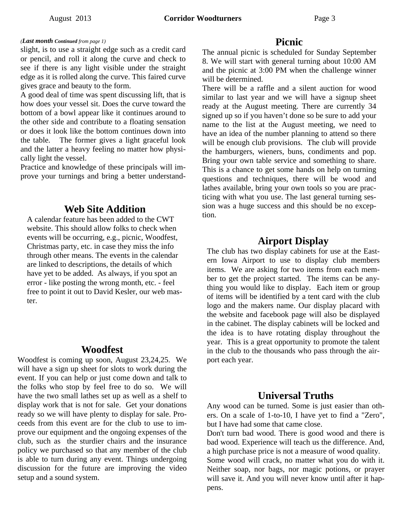#### *(Last month Continued from page 1)*

slight, is to use a straight edge such as a credit card or pencil, and roll it along the curve and check to see if there is any light visible under the straight edge as it is rolled along the curve. This faired curve gives grace and beauty to the form.

A good deal of time was spent discussing lift, that is how does your vessel sit. Does the curve toward the bottom of a bowl appear like it continues around to the other side and contribute to a floating sensation or does it look like the bottom continues down into the table. The former gives a light graceful look and the latter a heavy feeling no matter how physically light the vessel.

Practice and knowledge of these principals will improve your turnings and bring a better understand-

### **Web Site Addition**

A calendar feature has been added to the CWT website. This should allow folks to check when events will be occurring, e.g., picnic, Woodfest, Christmas party, etc. in case they miss the info through other means. The events in the calendar are linked to descriptions, the details of which have yet to be added. As always, if you spot an error - like posting the wrong month, etc. - feel free to point it out to David Kesler, our web master.

#### **Woodfest**

Woodfest is coming up soon, August 23,24,25. We will have a sign up sheet for slots to work during the event. If you can help or just come down and talk to the folks who stop by feel free to do so. We will have the two small lathes set up as well as a shelf to display work that is not for sale. Get your donations ready so we will have plenty to display for sale. Proceeds from this event are for the club to use to improve our equipment and the ongoing expenses of the club, such as the sturdier chairs and the insurance policy we purchased so that any member of the club is able to turn during any event. Things undergoing discussion for the future are improving the video setup and a sound system.

#### **Picnic**

The annual picnic is scheduled for Sunday September 8. We will start with general turning about 10:00 AM and the picnic at 3:00 PM when the challenge winner will be determined.

There will be a raffle and a silent auction for wood similar to last year and we will have a signup sheet ready at the August meeting. There are currently 34 signed up so if you haven't done so be sure to add your name to the list at the August meeting, we need to have an idea of the number planning to attend so there will be enough club provisions. The club will provide the hamburgers, wieners, buns, condiments and pop. Bring your own table service and something to share. This is a chance to get some hands on help on turning questions and techniques, there will be wood and lathes available, bring your own tools so you are practicing with what you use. The last general turning session was a huge success and this should be no exception.

### **Airport Display**

The club has two display cabinets for use at the Eastern Iowa Airport to use to display club members items. We are asking for two items from each member to get the project started. The items can be anything you would like to display. Each item or group of items will be identified by a tent card with the club logo and the makers name. Our display placard with the website and facebook page will also be displayed in the cabinet. The display cabinets will be locked and the idea is to have rotating display throughout the year. This is a great opportunity to promote the talent in the club to the thousands who pass through the airport each year.

#### **Universal Truths**

Any wood can be turned. Some is just easier than others. On a scale of 1-to-10, I have yet to find a "Zero", but I have had some that came close.

Don't turn bad wood. There is good wood and there is bad wood. Experience will teach us the difference. And, a high purchase price is not a measure of wood quality. Some wood will crack, no matter what you do with it. Neither soap, nor bags, nor magic potions, or prayer will save it. And you will never know until after it happens.